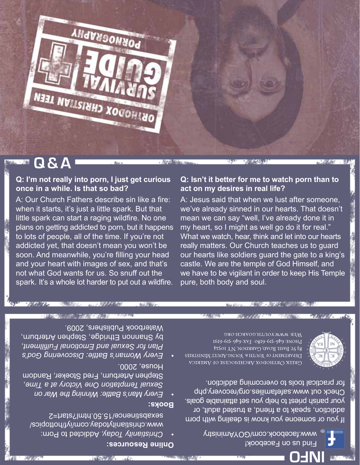

If you or someone you know is dealing with porn addiction, speak to a friend, a trusted adult, or your parish priest to help you set attainable goals. Check out www.safefamilies.org/recovery.php for practical tools to overcoming addiction.

I6I9-6IS-979 XVI · 08I9-6IS-979 ENOHJ 83 ST BASIL ROAD, GARRISON, NY IOS24 DEPARTMENT OF YOUTH & YOUNG ADULT MINISTRIES GREEK ORTHODOX ARCHDIOCESE OF AMERICA

pure, both body and soul.

**ALLY MA** 



\* Helet

**SANDY: 2023年10月10日 2023年1月** 

Мев: www.youth.goarch.org

"我们的呢?"

**WATER** 

12 STORE Have

**Online Resources:**

House, 2000.

**Books:**

Addicted to Porn: *Today, Christianity •*  www.christianitytoday.com/iyf/hottopics/

**ば全般の注。** 

**Every** Man's Battle: Winning the War on , *Time <sup>a</sup> at Victory One Temptation Sexual* Stephen Arterburn, Fred Stoeker, Random

*God's Discovering Battle: Woman's Every •*  , *Fulfillment Emotional and Sexual for Plan* by Shannon Ethridge, Stephen Arterburn,

**"如果你的确的人呢。"的说:** 

sexabstinence/15.50.html?start=2

Waterbook Publishers, 2009.

A: Our Church Fathers describe sin like a fire: when it starts, it's just a little spark. But that little spark can start a raging wildfire. No one plans on getting addicted to porn, but it happens to lots of people, all of the time. If you're not addicted yet, that doesn't mean you won't be soon. And meanwhile, you're filling your head and your heart with images of sex, and that's not what God wants for us. So snuff out the spark. It's a whole lot harder to put out a wildfire.

**Q: I'm not really into porn, I just get curious** 

NEEN HONORAND XOGOHINO

PORNOGRAPHY

**once in a while. Is that so bad?** 

# **Q: Isn't it better for me to watch porn than to act on my desires in real life?**

A: Jesus said that when we lust after someone, we've already sinned in our hearts. That doesn't mean we can say "well, I've already done it in my heart, so I might as well go do it for real." What we watch, hear, think and let into our hearts really matters. Our Church teaches us to guard our hearts like soldiers guard the gate to a king's castle. We are the temple of God Himself, and we have to be vigilant in order to keep His Temple

**Q & A** 小脑

- 冲突穴